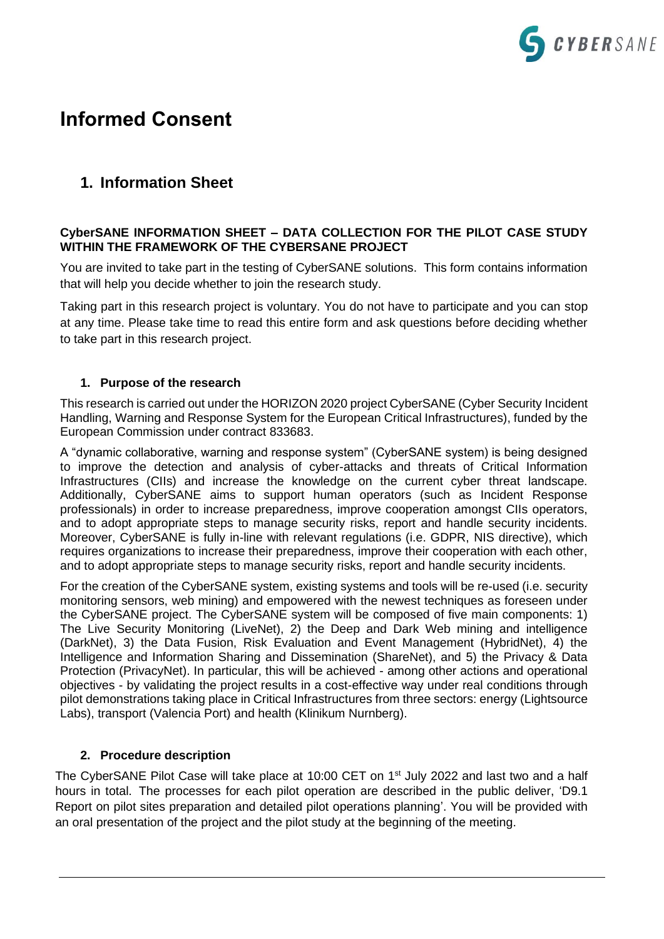

# **Informed Consent**

# **1. Information Sheet**

### **CyberSANE INFORMATION SHEET – DATA COLLECTION FOR THE PILOT CASE STUDY WITHIN THE FRAMEWORK OF THE CYBERSANE PROJECT**

You are invited to take part in the testing of CyberSANE solutions. This form contains information that will help you decide whether to join the research study.

Taking part in this research project is voluntary. You do not have to participate and you can stop at any time. Please take time to read this entire form and ask questions before deciding whether to take part in this research project.

## **1. Purpose of the research**

This research is carried out under the HORIZON 2020 project CyberSANE (Cyber Security Incident Handling, Warning and Response System for the European Critical Infrastructures), funded by the European Commission under contract 833683.

A "dynamic collaborative, warning and response system" (CyberSANE system) is being designed to improve the detection and analysis of cyber-attacks and threats of Critical Information Infrastructures (CIIs) and increase the knowledge on the current cyber threat landscape. Additionally, CyberSANE aims to support human operators (such as Incident Response professionals) in order to increase preparedness, improve cooperation amongst CIIs operators, and to adopt appropriate steps to manage security risks, report and handle security incidents. Moreover, CyberSANE is fully in-line with relevant regulations (i.e. GDPR, NIS directive), which requires organizations to increase their preparedness, improve their cooperation with each other, and to adopt appropriate steps to manage security risks, report and handle security incidents.

For the creation of the CyberSANE system, existing systems and tools will be re-used (i.e. security monitoring sensors, web mining) and empowered with the newest techniques as foreseen under the CyberSANE project. The CyberSANE system will be composed of five main components: 1) The Live Security Monitoring (LiveNet), 2) the Deep and Dark Web mining and intelligence (DarkNet), 3) the Data Fusion, Risk Evaluation and Event Management (HybridNet), 4) the Intelligence and Information Sharing and Dissemination (ShareNet), and 5) the Privacy & Data Protection (PrivacyNet). In particular, this will be achieved - among other actions and operational objectives - by validating the project results in a cost-effective way under real conditions through pilot demonstrations taking place in Critical Infrastructures from three sectors: energy (Lightsource Labs), transport (Valencia Port) and health (Klinikum Nurnberg).

# **2. Procedure description**

The CyberSANE Pilot Case will take place at 10:00 CET on 1<sup>st</sup> July 2022 and last two and a half hours in total. The processes for each pilot operation are described in the public deliver, 'D9.1 Report on pilot sites preparation and detailed pilot operations planning'. You will be provided with an oral presentation of the project and the pilot study at the beginning of the meeting.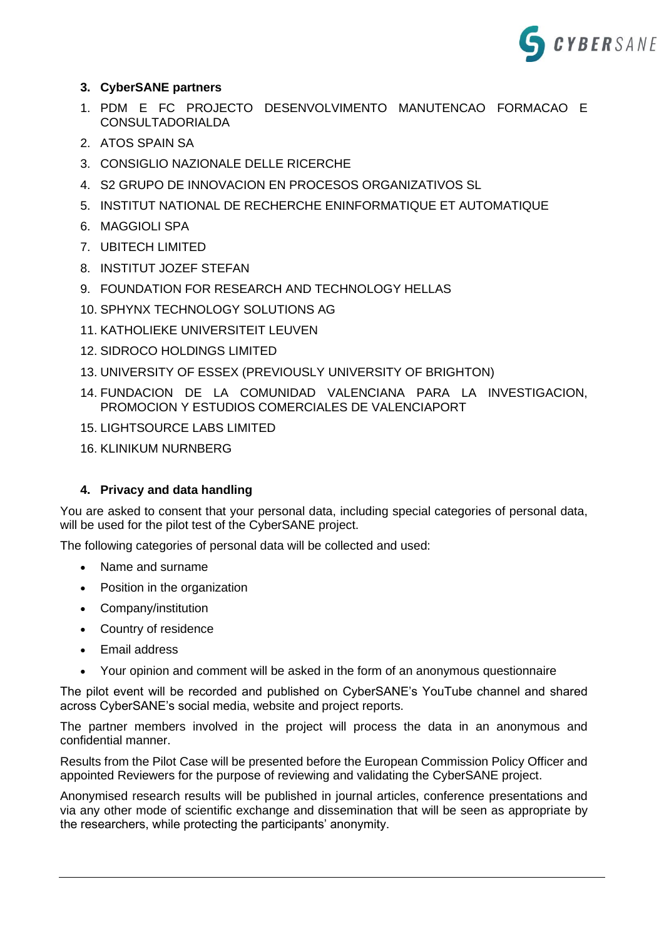

# **3. CyberSANE partners**

- 1. PDM E FC PROJECTO DESENVOLVIMENTO MANUTENCAO FORMACAO E CONSULTADORIALDA
- 2. ATOS SPAIN SA
- 3. CONSIGLIO NAZIONALE DELLE RICERCHE
- 4. S2 GRUPO DE INNOVACION EN PROCESOS ORGANIZATIVOS SL
- 5. INSTITUT NATIONAL DE RECHERCHE ENINFORMATIQUE ET AUTOMATIQUE
- 6. MAGGIOLI SPA
- 7. UBITECH LIMITED
- 8. INSTITUT JOZEF STEFAN
- 9. FOUNDATION FOR RESEARCH AND TECHNOLOGY HELLAS
- 10. SPHYNX TECHNOLOGY SOLUTIONS AG
- 11. KATHOLIEKE UNIVERSITEIT LEUVEN
- 12. SIDROCO HOLDINGS LIMITED
- 13. UNIVERSITY OF ESSEX (PREVIOUSLY UNIVERSITY OF BRIGHTON)
- 14. FUNDACION DE LA COMUNIDAD VALENCIANA PARA LA INVESTIGACION, PROMOCION Y ESTUDIOS COMERCIALES DE VALENCIAPORT
- 15. LIGHTSOURCE LABS LIMITED
- 16. KLINIKUM NURNBERG

#### **4. Privacy and data handling**

You are asked to consent that your personal data, including special categories of personal data, will be used for the pilot test of the CyberSANE project.

The following categories of personal data will be collected and used:

- Name and surname
- Position in the organization
- Company/institution
- Country of residence
- Email address
- Your opinion and comment will be asked in the form of an anonymous questionnaire

The pilot event will be recorded and published on CyberSANE's YouTube channel and shared across CyberSANE's social media, website and project reports.

The partner members involved in the project will process the data in an anonymous and confidential manner.

Results from the Pilot Case will be presented before the European Commission Policy Officer and appointed Reviewers for the purpose of reviewing and validating the CyberSANE project.

Anonymised research results will be published in journal articles, conference presentations and via any other mode of scientific exchange and dissemination that will be seen as appropriate by the researchers, while protecting the participants' anonymity.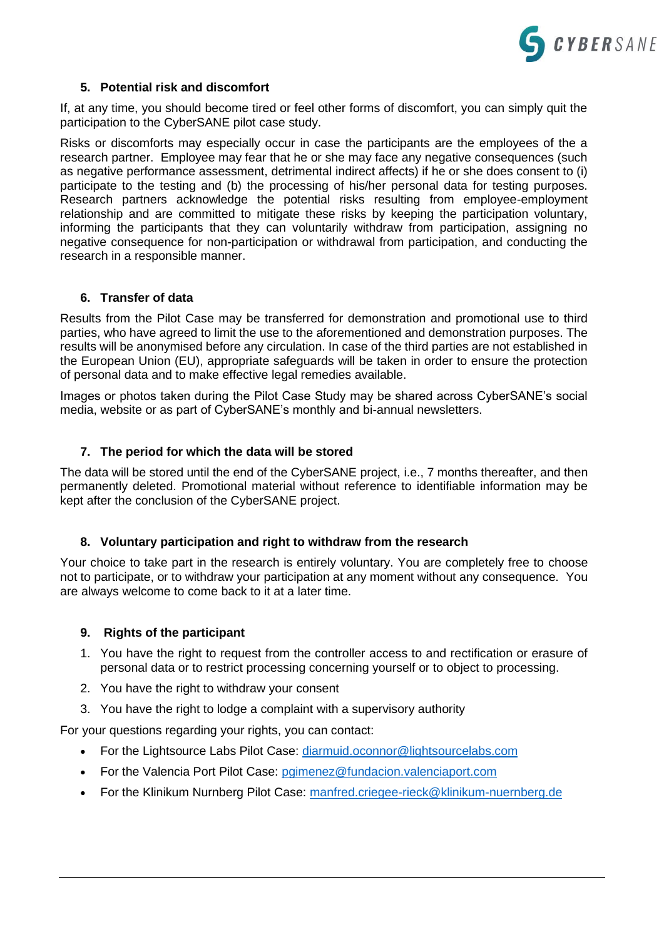

#### **5. Potential risk and discomfort**

If, at any time, you should become tired or feel other forms of discomfort, you can simply quit the participation to the CyberSANE pilot case study.

Risks or discomforts may especially occur in case the participants are the employees of the a research partner. Employee may fear that he or she may face any negative consequences (such as negative performance assessment, detrimental indirect affects) if he or she does consent to (i) participate to the testing and (b) the processing of his/her personal data for testing purposes. Research partners acknowledge the potential risks resulting from employee-employment relationship and are committed to mitigate these risks by keeping the participation voluntary, informing the participants that they can voluntarily withdraw from participation, assigning no negative consequence for non-participation or withdrawal from participation, and conducting the research in a responsible manner.

#### **6. Transfer of data**

Results from the Pilot Case may be transferred for demonstration and promotional use to third parties, who have agreed to limit the use to the aforementioned and demonstration purposes. The results will be anonymised before any circulation. In case of the third parties are not established in the European Union (EU), appropriate safeguards will be taken in order to ensure the protection of personal data and to make effective legal remedies available.

Images or photos taken during the Pilot Case Study may be shared across CyberSANE's social media, website or as part of CyberSANE's monthly and bi-annual newsletters.

#### **7. The period for which the data will be stored**

The data will be stored until the end of the CyberSANE project, i.e., 7 months thereafter, and then permanently deleted. Promotional material without reference to identifiable information may be kept after the conclusion of the CyberSANE project.

#### **8. Voluntary participation and right to withdraw from the research**

Your choice to take part in the research is entirely voluntary. You are completely free to choose not to participate, or to withdraw your participation at any moment without any consequence. You are always welcome to come back to it at a later time.

#### **9. Rights of the participant**

- 1. You have the right to request from the controller access to and rectification or erasure of personal data or to restrict processing concerning yourself or to object to processing.
- 2. You have the right to withdraw your consent
- 3. You have the right to lodge a complaint with a supervisory authority

For your questions regarding your rights, you can contact:

- For the Lightsource Labs Pilot Case: [diarmuid.oconnor@lightsourcelabs.com](mailto:diarmuid.oconnor@lightsourcelabs.com)
- For the Valencia Port Pilot Case: [pgimenez@fundacion.valenciaport.com](mailto:pgimenez@fundacion.valenciaport.com)
- For the Klinikum Nurnberg Pilot Case: [manfred.criegee-rieck@klinikum-nuernberg.de](mailto:manfred.criegee-rieck@klinikum-nuernberg.de)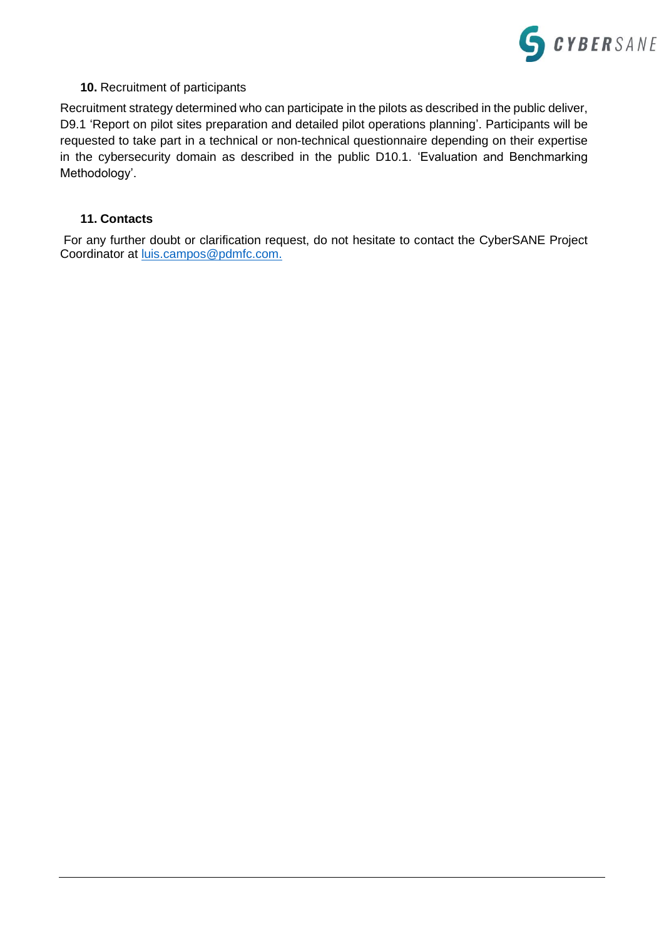

#### **10.** Recruitment of participants

Recruitment strategy determined who can participate in the pilots as described in the public deliver, D9.1 'Report on pilot sites preparation and detailed pilot operations planning'. Participants will be requested to take part in a technical or non-technical questionnaire depending on their expertise in the cybersecurity domain as described in the public D10.1. 'Evaluation and Benchmarking Methodology'.

#### **11. Contacts**

For any further doubt or clarification request, do not hesitate to contact the CyberSANE Project Coordinator at [luis.campos@pdmfc.com.](mailto:luis.campos@pdmfc.com)